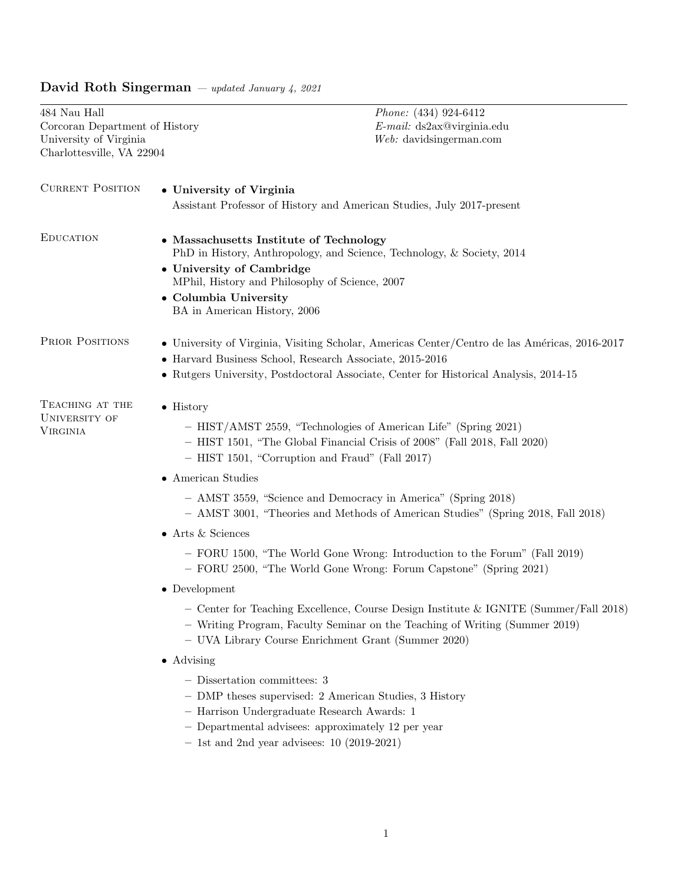# David Roth Singerman — updated January 4, 2021

484 Nau Hall <br/>  $\emph{Phone: (434) 924-6412}$  Corcoran Department of History  $$E$-mail: ds2ax@viriginia.edu$$  $\,$  Corcoran Department of History University of Virginia Charlottesville, VA 22904

 $Web:$  davidsingerman.com

| <b>CURRENT POSITION</b>                             | • University of Virginia<br>Assistant Professor of History and American Studies, July 2017-present                                                                                                                                                                                                                                                                                                                                                                                                                                                                                                                                                                                                                                                                                                                                                                                                      |  |  |  |  |  |  |
|-----------------------------------------------------|---------------------------------------------------------------------------------------------------------------------------------------------------------------------------------------------------------------------------------------------------------------------------------------------------------------------------------------------------------------------------------------------------------------------------------------------------------------------------------------------------------------------------------------------------------------------------------------------------------------------------------------------------------------------------------------------------------------------------------------------------------------------------------------------------------------------------------------------------------------------------------------------------------|--|--|--|--|--|--|
| <b>EDUCATION</b>                                    | • Massachusetts Institute of Technology<br>PhD in History, Anthropology, and Science, Technology, & Society, 2014<br>• University of Cambridge<br>MPhil, History and Philosophy of Science, 2007<br>• Columbia University<br>BA in American History, 2006                                                                                                                                                                                                                                                                                                                                                                                                                                                                                                                                                                                                                                               |  |  |  |  |  |  |
| PRIOR POSITIONS                                     | • University of Virginia, Visiting Scholar, Americas Center/Centro de las Américas, 2016-2017<br>• Harvard Business School, Research Associate, 2015-2016<br>• Rutgers University, Postdoctoral Associate, Center for Historical Analysis, 2014-15                                                                                                                                                                                                                                                                                                                                                                                                                                                                                                                                                                                                                                                      |  |  |  |  |  |  |
| TEACHING AT THE<br>UNIVERSITY OF<br><b>VIRGINIA</b> | $\bullet$ History<br>- HIST/AMST 2559, "Technologies of American Life" (Spring 2021)<br>- HIST 1501, "The Global Financial Crisis of 2008" (Fall 2018, Fall 2020)<br>- HIST 1501, "Corruption and Fraud" (Fall 2017)<br>$\bullet\,$ American Studies<br>- AMST 3559, "Science and Democracy in America" (Spring 2018)<br>- AMST 3001, "Theories and Methods of American Studies" (Spring 2018, Fall 2018)<br>$\bullet$ Arts & Sciences<br>- FORU 1500, "The World Gone Wrong: Introduction to the Forum" (Fall 2019)<br>- FORU 2500, "The World Gone Wrong: Forum Capstone" (Spring 2021)<br>$\bullet$ Development<br>- Center for Teaching Excellence, Course Design Institute & IGNITE (Summer/Fall 2018)<br>- Writing Program, Faculty Seminar on the Teaching of Writing (Summer 2019)<br>- UVA Library Course Enrichment Grant (Summer 2020)<br>$\bullet$ Advising<br>- Dissertation committees: 3 |  |  |  |  |  |  |
|                                                     | - DMP theses supervised: 2 American Studies, 3 History<br>- Harrison Undergraduate Research Awards: 1<br>$-$ Departmental advisees: approximately 12 per year<br>$-$ 1st and 2nd year advisees: 10 (2019-2021)                                                                                                                                                                                                                                                                                                                                                                                                                                                                                                                                                                                                                                                                                          |  |  |  |  |  |  |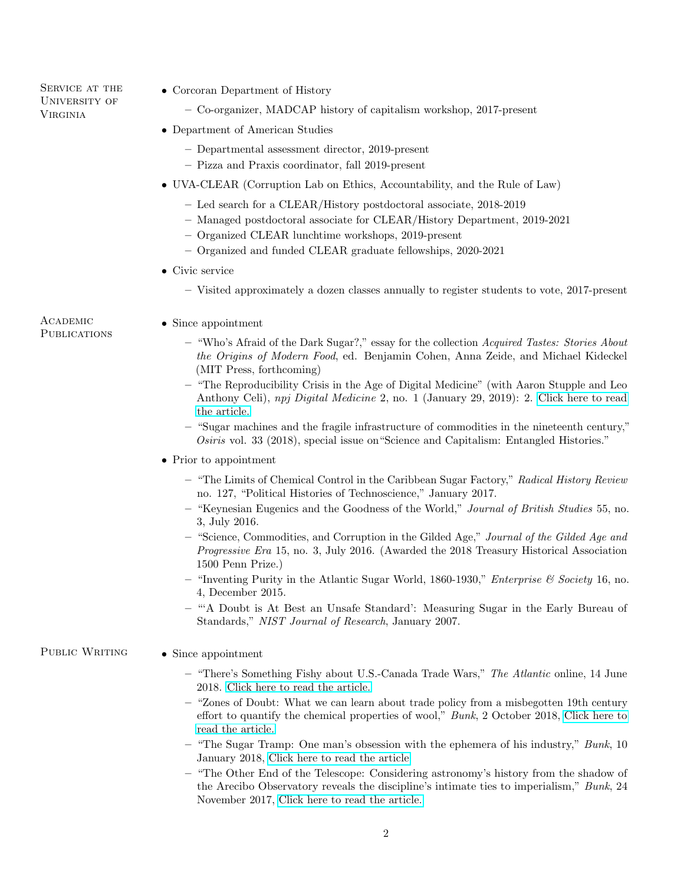SERVICE AT THE UNIVERSITY OF Virginia

- Corcoran Department of History
	- Co-organizer, MADCAP history of capitalism workshop, 2017-present
- Department of American Studies
	- Departmental assessment director, 2019-present
	- Pizza and Praxis coordinator, fall 2019-present
- UVA-CLEAR (Corruption Lab on Ethics, Accountability, and the Rule of Law)
	- Led search for a CLEAR/History postdoctoral associate, 2018-2019
	- Managed postdoctoral associate for CLEAR/History Department, 2019-2021
	- Organized CLEAR lunchtime workshops, 2019-present
	- Organized and funded CLEAR graduate fellowships, 2020-2021
- Civic service
	- Visited approximately a dozen classes annually to register students to vote, 2017-present

**ACADEMIC PUBLICATIONS** 

- Since appointment
	- "Who's Afraid of the Dark Sugar?," essay for the collection Acquired Tastes: Stories About the Origins of Modern Food, ed. Benjamin Cohen, Anna Zeide, and Michael Kideckel (MIT Press, forthcoming)
	- "The Reproducibility Crisis in the Age of Digital Medicine" (with Aaron Stupple and Leo Anthony Celi), npj Digital Medicine 2, no. 1 (January 29, 2019): 2. [Click here to read](https://www.nature.com/articles/s41746-019-0079-z) [the article.](https://www.nature.com/articles/s41746-019-0079-z)
	- "Sugar machines and the fragile infrastructure of commodities in the nineteenth century," Osiris vol. 33 (2018), special issue on"Science and Capitalism: Entangled Histories."
- Prior to appointment
	- "The Limits of Chemical Control in the Caribbean Sugar Factory," Radical History Review no. 127, "Political Histories of Technoscience," January 2017.
	- "Keynesian Eugenics and the Goodness of the World," Journal of British Studies 55, no. 3, July 2016.
	- "Science, Commodities, and Corruption in the Gilded Age," Journal of the Gilded Age and Progressive Era 15, no. 3, July 2016. (Awarded the 2018 Treasury Historical Association 1500 Penn Prize.)
	- "Inventing Purity in the Atlantic Sugar World, 1860-1930," *Enterprise & Society* 16, no. 4, December 2015.
	- "'A Doubt is At Best an Unsafe Standard': Measuring Sugar in the Early Bureau of Standards," NIST Journal of Research, January 2007.

## PUBLIC WRITING • Since appointment

- "There's Something Fishy about U.S.-Canada Trade Wars," The Atlantic online, 14 June 2018. [Click here to read the article.](https://www.theatlantic.com/international/archive/2018/06/america-canada-tariff-herring/562844/)
- "Zones of Doubt: What we can learn about trade policy from a misbegotten 19th century effort to quantify the chemical properties of wool," Bunk, 2 October 2018, [Click here to](https://www.bunkhistory.org/resources/3212) [read the article.](https://www.bunkhistory.org/resources/3212)
- $-$  "The Sugar Tramp: One man's obsession with the ephemera of his industry," Bunk, 10 January 2018, [Click here to read the article](https://www.bunkhistory.org/resources/1639)
- "The Other End of the Telescope: Considering astronomy's history from the shadow of the Arecibo Observatory reveals the discipline's intimate ties to imperialism," Bunk, 24 November 2017, [Click here to read the article.](https://www.bunkhistory.org/resources/1445)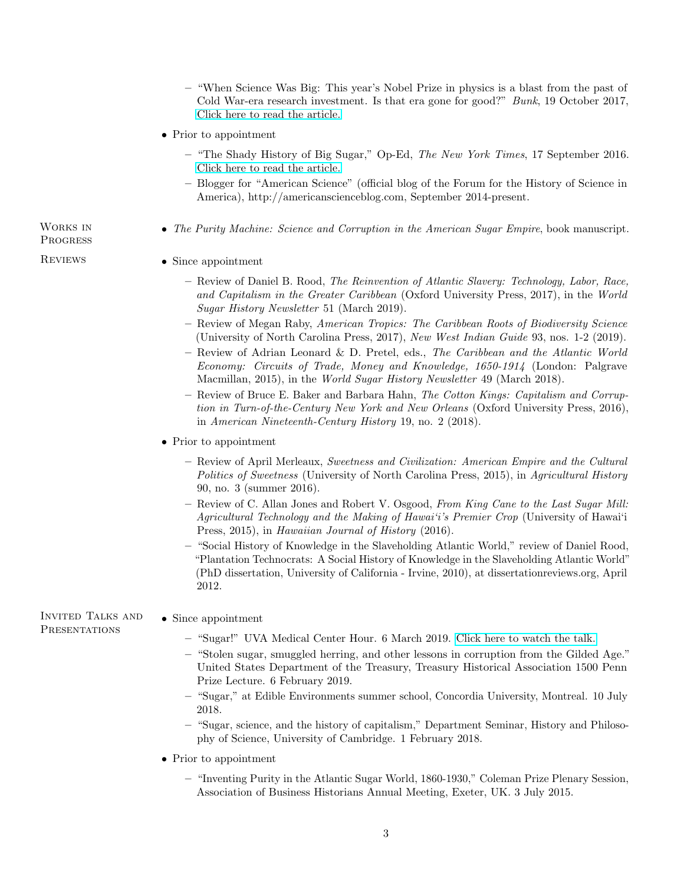- "When Science Was Big: This year's Nobel Prize in physics is a blast from the past of Cold War-era research investment. Is that era gone for good?" Bunk, 19 October 2017, [Click here to read the article.](https://www.bunkhistory.org/resources/1185)
- Prior to appointment
	- $-$  "The Shady History of Big Sugar," Op-Ed, The New York Times, 17 September 2016. [Click here to read the article.](https://www.nytimes.com/2016/09/17/opinion/the-shady-history-of-big-sugar.html)
	- Blogger for "American Science" (official blog of the Forum for the History of Science in America), http://americanscienceblog.com, September 2014-present.
- The Purity Machine: Science and Corruption in the American Sugar Empire, book manuscript.

# **PROGRESS**

Works in

- REVIEWS Since appointment
	- Review of Daniel B. Rood, The Reinvention of Atlantic Slavery: Technology, Labor, Race, and Capitalism in the Greater Caribbean (Oxford University Press, 2017), in the World Sugar History Newsletter 51 (March 2019).
	- Review of Megan Raby, American Tropics: The Caribbean Roots of Biodiversity Science (University of North Carolina Press, 2017), New West Indian Guide 93, nos. 1-2 (2019).
	- Review of Adrian Leonard & D. Pretel, eds., The Caribbean and the Atlantic World Economy: Circuits of Trade, Money and Knowledge, 1650-1914 (London: Palgrave Macmillan, 2015), in the World Sugar History Newsletter 49 (March 2018).
	- Review of Bruce E. Baker and Barbara Hahn, The Cotton Kings: Capitalism and Corruption in Turn-of-the-Century New York and New Orleans (Oxford University Press, 2016), in American Nineteenth-Century History 19, no. 2 (2018).
	- Prior to appointment
		- Review of April Merleaux, Sweetness and Civilization: American Empire and the Cultural Politics of Sweetness (University of North Carolina Press, 2015), in Agricultural History 90, no. 3 (summer 2016).
		- Review of C. Allan Jones and Robert V. Osgood, From King Cane to the Last Sugar Mill: Agricultural Technology and the Making of Hawai'i's Premier Crop (University of Hawai'i Press, 2015), in Hawaiian Journal of History (2016).
		- "Social History of Knowledge in the Slaveholding Atlantic World," review of Daniel Rood, "Plantation Technocrats: A Social History of Knowledge in the Slaveholding Atlantic World" (PhD dissertation, University of California - Irvine, 2010), at dissertationreviews.org, April 2012.

Invited Talks and **PRESENTATIONS** • Since appointment

- "Sugar!" UVA Medical Center Hour. 6 March 2019. [Click here to watch the talk.](https://www.youtube.com/watch?v=1ETmlpnEVa4&t=915s)
- "Stolen sugar, smuggled herring, and other lessons in corruption from the Gilded Age." United States Department of the Treasury, Treasury Historical Association 1500 Penn Prize Lecture. 6 February 2019.
- "Sugar," at Edible Environments summer school, Concordia University, Montreal. 10 July 2018.
- "Sugar, science, and the history of capitalism," Department Seminar, History and Philosophy of Science, University of Cambridge. 1 February 2018.
- Prior to appointment
	- "Inventing Purity in the Atlantic Sugar World, 1860-1930," Coleman Prize Plenary Session, Association of Business Historians Annual Meeting, Exeter, UK. 3 July 2015.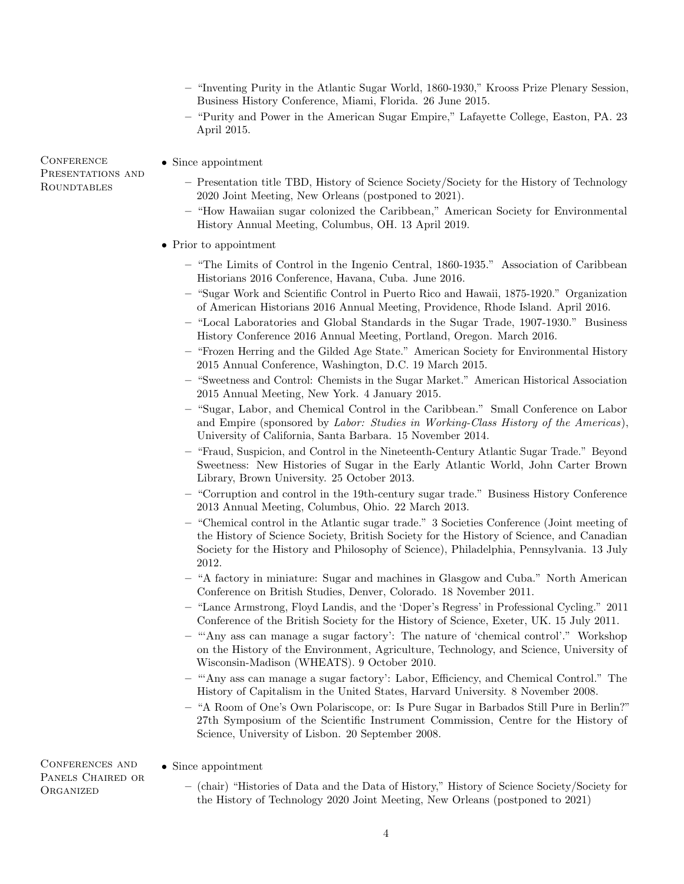- "Inventing Purity in the Atlantic Sugar World, 1860-1930," Krooss Prize Plenary Session, Business History Conference, Miami, Florida. 26 June 2015.
- "Purity and Power in the American Sugar Empire," Lafayette College, Easton, PA. 23 April 2015.

**CONFERENCE** PRESENTATIONS AND ROUNDTABLES

- Since appointment
	- Presentation title TBD, History of Science Society/Society for the History of Technology 2020 Joint Meeting, New Orleans (postponed to 2021).
	- "How Hawaiian sugar colonized the Caribbean," American Society for Environmental History Annual Meeting, Columbus, OH. 13 April 2019.

## • Prior to appointment

- "The Limits of Control in the Ingenio Central, 1860-1935." Association of Caribbean Historians 2016 Conference, Havana, Cuba. June 2016.
- "Sugar Work and Scientific Control in Puerto Rico and Hawaii, 1875-1920." Organization of American Historians 2016 Annual Meeting, Providence, Rhode Island. April 2016.
- "Local Laboratories and Global Standards in the Sugar Trade, 1907-1930." Business History Conference 2016 Annual Meeting, Portland, Oregon. March 2016.
- "Frozen Herring and the Gilded Age State." American Society for Environmental History 2015 Annual Conference, Washington, D.C. 19 March 2015.
- "Sweetness and Control: Chemists in the Sugar Market." American Historical Association 2015 Annual Meeting, New York. 4 January 2015.
- "Sugar, Labor, and Chemical Control in the Caribbean." Small Conference on Labor and Empire (sponsored by Labor: Studies in Working-Class History of the Americas), University of California, Santa Barbara. 15 November 2014.
- "Fraud, Suspicion, and Control in the Nineteenth-Century Atlantic Sugar Trade." Beyond Sweetness: New Histories of Sugar in the Early Atlantic World, John Carter Brown Library, Brown University. 25 October 2013.
- "Corruption and control in the 19th-century sugar trade." Business History Conference 2013 Annual Meeting, Columbus, Ohio. 22 March 2013.
- "Chemical control in the Atlantic sugar trade." 3 Societies Conference (Joint meeting of the History of Science Society, British Society for the History of Science, and Canadian Society for the History and Philosophy of Science), Philadelphia, Pennsylvania. 13 July 2012.
- "A factory in miniature: Sugar and machines in Glasgow and Cuba." North American Conference on British Studies, Denver, Colorado. 18 November 2011.
- "Lance Armstrong, Floyd Landis, and the 'Doper's Regress' in Professional Cycling." 2011 Conference of the British Society for the History of Science, Exeter, UK. 15 July 2011.
- "'Any ass can manage a sugar factory': The nature of 'chemical control'." Workshop on the History of the Environment, Agriculture, Technology, and Science, University of Wisconsin-Madison (WHEATS). 9 October 2010.
- "'Any ass can manage a sugar factory': Labor, Efficiency, and Chemical Control." The History of Capitalism in the United States, Harvard University. 8 November 2008.
- "A Room of One's Own Polariscope, or: Is Pure Sugar in Barbados Still Pure in Berlin?" 27th Symposium of the Scientific Instrument Commission, Centre for the History of Science, University of Lisbon. 20 September 2008.

### • Since appointment

Panels Chaired or **ORGANIZED** 

Conferences and

– (chair) "Histories of Data and the Data of History," History of Science Society/Society for the History of Technology 2020 Joint Meeting, New Orleans (postponed to 2021)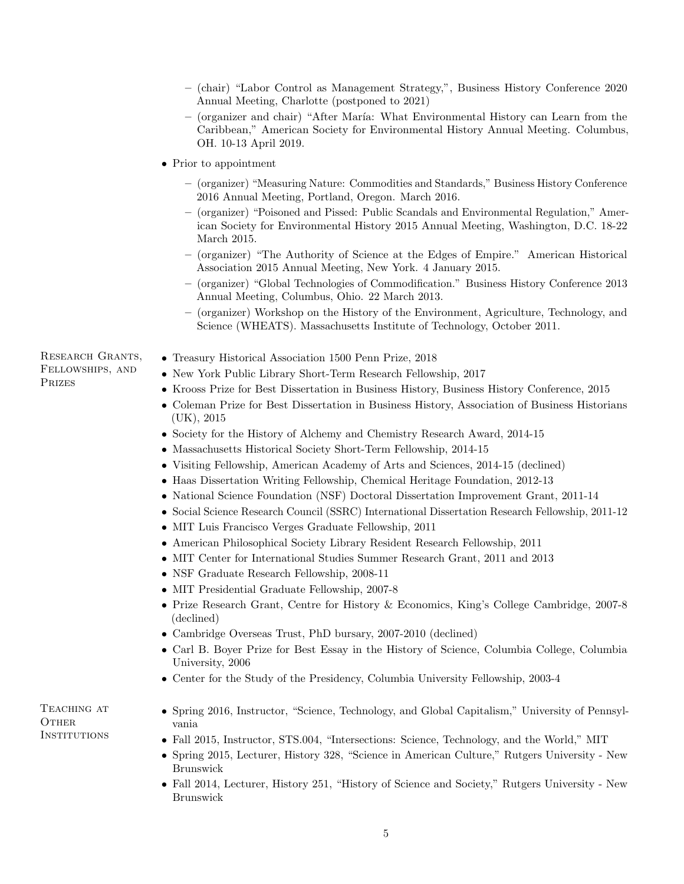|  |  | $-$ (chair) "Labor Control as Management Strategy,", Business History Conference 2020 |  |  |  |
|--|--|---------------------------------------------------------------------------------------|--|--|--|
|  |  | Annual Meeting, Charlotte (postponed to 2021)                                         |  |  |  |

- (organizer and chair) "After Mar´ıa: What Environmental History can Learn from the Caribbean," American Society for Environmental History Annual Meeting. Columbus, OH. 10-13 April 2019.
- Prior to appointment
	- (organizer) "Measuring Nature: Commodities and Standards," Business History Conference 2016 Annual Meeting, Portland, Oregon. March 2016.
	- (organizer) "Poisoned and Pissed: Public Scandals and Environmental Regulation," American Society for Environmental History 2015 Annual Meeting, Washington, D.C. 18-22 March 2015.
	- (organizer) "The Authority of Science at the Edges of Empire." American Historical Association 2015 Annual Meeting, New York. 4 January 2015.
	- (organizer) "Global Technologies of Commodification." Business History Conference 2013 Annual Meeting, Columbus, Ohio. 22 March 2013.
	- (organizer) Workshop on the History of the Environment, Agriculture, Technology, and Science (WHEATS). Massachusetts Institute of Technology, October 2011.

Research Grants, Fellowships, and Prizes

- Treasury Historical Association 1500 Penn Prize, 2018
- New York Public Library Short-Term Research Fellowship, 2017
- Krooss Prize for Best Dissertation in Business History, Business History Conference, 2015
- Coleman Prize for Best Dissertation in Business History, Association of Business Historians (UK), 2015
- Society for the History of Alchemy and Chemistry Research Award, 2014-15
- Massachusetts Historical Society Short-Term Fellowship, 2014-15
- Visiting Fellowship, American Academy of Arts and Sciences, 2014-15 (declined)
- Haas Dissertation Writing Fellowship, Chemical Heritage Foundation, 2012-13
- National Science Foundation (NSF) Doctoral Dissertation Improvement Grant, 2011-14
- Social Science Research Council (SSRC) International Dissertation Research Fellowship, 2011-12
	- MIT Luis Francisco Verges Graduate Fellowship, 2011
	- American Philosophical Society Library Resident Research Fellowship, 2011
	- MIT Center for International Studies Summer Research Grant, 2011 and 2013
	- NSF Graduate Research Fellowship, 2008-11
	- MIT Presidential Graduate Fellowship, 2007-8
	- Prize Research Grant, Centre for History & Economics, King's College Cambridge, 2007-8 (declined)
	- Cambridge Overseas Trust, PhD bursary, 2007-2010 (declined)
	- Carl B. Boyer Prize for Best Essay in the History of Science, Columbia College, Columbia University, 2006
	- Center for the Study of the Presidency, Columbia University Fellowship, 2003-4

TEACHING AT **OTHER INSTITUTIONS** 

- Spring 2016, Instructor, "Science, Technology, and Global Capitalism," University of Pennsylvania
- Fall 2015, Instructor, STS.004, "Intersections: Science, Technology, and the World," MIT
- Spring 2015, Lecturer, History 328, "Science in American Culture," Rutgers University New Brunswick
- Fall 2014, Lecturer, History 251, "History of Science and Society," Rutgers University New Brunswick